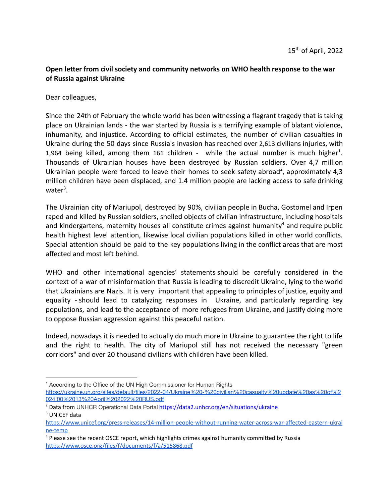## **Open letter from civil society and community networks on WHO health response to the war of Russia against Ukraine**

Dear colleagues,

Since the 24th of February the whole world has been witnessing a flagrant tragedy that is taking place on Ukrainian lands - the war started by Russia is a terrifying example of blatant violence, inhumanity, and injustice. According to official estimates, the number of civilian casualties in Ukraine during the 50 days since Russia's invasion has reached over 2,613 civilians injuries, with 1,964 being killed, among them 161 children - while the actual number is much higher<sup>1</sup>. Thousands of Ukrainian houses have been destroyed by Russian soldiers. Over 4,7 million Ukrainian people were forced to leave their homes to seek safety abroad<sup>2</sup>, approximately 4,3 million children have been displaced, and 1.4 million people are lacking access to safe drinking water<sup>3</sup>.

The Ukrainian city of Mariupol, destroyed by 90%, civilian people in Bucha, Gostomel and Irpen raped and killed by Russian soldiers, shelled objects of civilian infrastructure, including hospitals and kindergartens, maternity houses all constitute crimes against humanity $4$  and require public health highest level attention, likewise local civilian populations killed in other world conflicts. Special attention should be paid to the key populations living in the conflict areas that are most affected and most left behind.

WHO and other international agencies' statements should be carefully considered in the context of a war of misinformation that Russia is leading to discredit Ukraine, lying to the world that Ukrainians are Nazis. It is very important that appealing to principles of justice, equity and equality - should lead to catalyzing responses in Ukraine, and particularly regarding key populations, and lead to the acceptance of more refugees from Ukraine, and justify doing more to oppose Russian aggression against this peaceful nation.

Indeed, nowadays it is needed to actually do much more in Ukraine to guarantee the right to life and the right to health. The city of Mariupol still has not received the necessary "green corridors" and over 20 thousand civilians with children have been killed.

<sup>&</sup>lt;sup>1</sup> According to the Office of the UN High Commissioner for Human Rights [https://ukraine.un.org/sites/default/files/2022-04/Ukraine%20-%20civilian%20casualty%20update%20as%20of%2](https://ukraine.un.org/sites/default/files/2022-04/Ukraine%20-%20civilian%20casualty%20update%20as%20of%2024.00%2013%20April%202022%20RUS.pdf) [024.00%2013%20April%202022%20RUS.pdf](https://ukraine.un.org/sites/default/files/2022-04/Ukraine%20-%20civilian%20casualty%20update%20as%20of%2024.00%2013%20April%202022%20RUS.pdf)

<sup>3</sup> UNICEF data <sup>2</sup> Data from UNHCR Operational Data Portal <https://data2.unhcr.org/en/situations/ukraine>

[https://www.unicef.org/press-releases/14-million-people-without-running-water-across-war-affected-eastern-ukrai](https://www.unicef.org/press-releases/14-million-people-without-running-water-across-war-affected-eastern-ukraine-temp) [ne-temp](https://www.unicef.org/press-releases/14-million-people-without-running-water-across-war-affected-eastern-ukraine-temp)

<sup>4</sup> Please see the recent OSCE report, which highlights crimes against humanity committed by Russia <https://www.osce.org/files/f/documents/f/a/515868.pdf>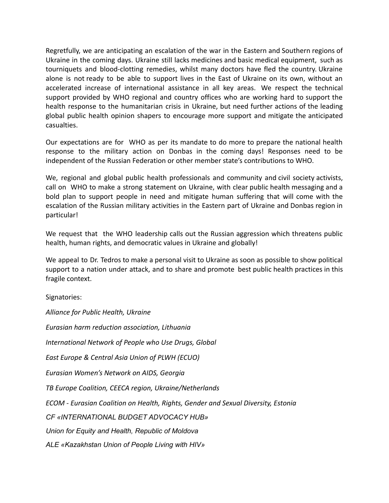Regretfully, we are anticipating an escalation of the war in the Eastern and Southern regions of Ukraine in the coming days. Ukraine still lacks medicines and basic medical equipment, such as tourniquets and blood-clotting remedies, whilst many doctors have fled the country. Ukraine alone is not ready to be able to support lives in the East of Ukraine on its own, without an accelerated increase of international assistance in all key areas. We respect the technical support provided by WHO regional and country offices who are working hard to support the health response to the humanitarian crisis in Ukraine, but need further actions of the leading global public health opinion shapers to encourage more support and mitigate the anticipated casualties.

Our expectations are for WHO as per its mandate to do more to prepare the national health response to the military action on Donbas in the coming days! Responses need to be independent of the Russian Federation or other member state's contributions to WHO.

We, regional and global public health professionals and community and civil society activists, call on WHO to make a strong statement on Ukraine, with clear public health messaging and a bold plan to support people in need and mitigate human suffering that will come with the escalation of the Russian military activities in the Eastern part of Ukraine and Donbas region in particular!

We request that the WHO leadership calls out the Russian aggression which threatens public health, human rights, and democratic values in Ukraine and globally!

We appeal to Dr. Tedros to make a personal visit to Ukraine as soon as possible to show political support to a nation under attack, and to share and promote best public health practices in this fragile context.

Signatories:

*Alliance for Public Health, Ukraine Eurasian harm reduction association, Lithuania International Network of People who Use Drugs, Global East Europe & Central Asia Union of PLWH (ECUO) Eurasian Women's Network on AIDS, Georgia TB Europe Coalition, CEECA region, Ukraine/Netherlands ECOM - Eurasian Coalition on Health, Rights, Gender and Sexual Diversity, Estonia CF «INTERNATIONAL BUDGET ADVOCACY HUB» Union for Equity and Health, Republic of Moldova ALE «Kazakhstan Union of People Living with HIV»*